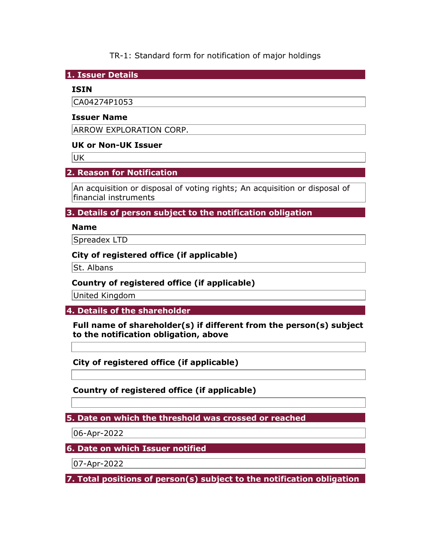TR-1: Standard form for notification of major holdings

1. Issuer Details

## ISIN

CA04274P1053

## Issuer Name

ARROW EXPLORATION CORP.

## UK or Non-UK Issuer

UK

# 2. Reason for Notification

An acquisition or disposal of voting rights; An acquisition or disposal of financial instruments

3. Details of person subject to the notification obligation

## Name

Spreadex LTD

## City of registered office (if applicable)

St. Albans

## Country of registered office (if applicable)

United Kingdom

4. Details of the shareholder

Full name of shareholder(s) if different from the person(s) subject to the notification obligation, above

City of registered office (if applicable)

Country of registered office (if applicable)

5. Date on which the threshold was crossed or reached

06-Apr-2022

6. Date on which Issuer notified

07-Apr-2022

7. Total positions of person(s) subject to the notification obligation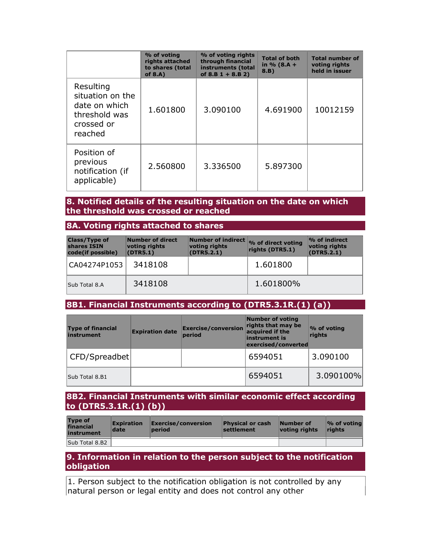|                                                                                          | % of voting<br>rights attached<br>to shares (total<br>of $8.A$ ) | % of voting rights<br>through financial<br>instruments (total<br>of $8.B 1 + 8.B 2)$ | <b>Total of both</b><br>in $% (8.A +$<br>8.B) | <b>Total number of</b><br>voting rights<br>held in issuer |
|------------------------------------------------------------------------------------------|------------------------------------------------------------------|--------------------------------------------------------------------------------------|-----------------------------------------------|-----------------------------------------------------------|
| Resulting<br>situation on the<br>date on which<br>threshold was<br>crossed or<br>reached | 1.601800                                                         | 3.090100                                                                             | 4.691900                                      | 10012159                                                  |
| Position of<br>previous<br>notification (if<br>applicable)                               | 2.560800                                                         | 3.336500                                                                             | 5.897300                                      |                                                           |

### 8. Notified details of the resulting situation on the date on which the threshold was crossed or reached

### 8A. Voting rights attached to shares

| <b>Class/Type of</b><br>shares ISIN<br>code(if possible) | Number of direct<br>voting rights<br>(DTR5.1) | voting rights<br>(DTR5.2.1) | Number of indirect % of direct voting<br>rights (DTR5.1) | $\%$ of indirect<br>voting rights<br>(DTR5.2.1) |
|----------------------------------------------------------|-----------------------------------------------|-----------------------------|----------------------------------------------------------|-------------------------------------------------|
| CA04274P1053                                             | 3418108                                       |                             | 1.601800                                                 |                                                 |
| Sub Total 8.A                                            | 3418108                                       |                             | 1.601800%                                                |                                                 |

# 8B1. Financial Instruments according to (DTR5.3.1R.(1) (a))

| <b>Type of financial</b><br>instrument | <b>Expiration date</b> | <b>Exercise/conversion</b><br>period | <b>Number of voting</b><br>rights that may be<br>acquired if the<br>instrument is<br>exercised/converted | % of voting<br>rights |
|----------------------------------------|------------------------|--------------------------------------|----------------------------------------------------------------------------------------------------------|-----------------------|
| CFD/Spreadbet                          |                        |                                      | 6594051                                                                                                  | 3.090100              |
| Sub Total 8.B1                         |                        |                                      | 6594051                                                                                                  | 3.090100%             |

### 8B2. Financial Instruments with similar economic effect according to (DTR5.3.1R.(1) (b))

| <b>Type of</b><br>financial<br>instrument | <b>Expiration</b><br>date | Exercise/conversion<br>period | <b>Physical or cash</b><br>settlement | Number of<br>votina riahts | $\mathcal{O}_0$ of voting<br><b>rights</b> |
|-------------------------------------------|---------------------------|-------------------------------|---------------------------------------|----------------------------|--------------------------------------------|
| Sub Total 8.B2                            |                           |                               |                                       |                            |                                            |

### 9. Information in relation to the person subject to the notification obligation

1. Person subject to the notification obligation is not controlled by any natural person or legal entity and does not control any other